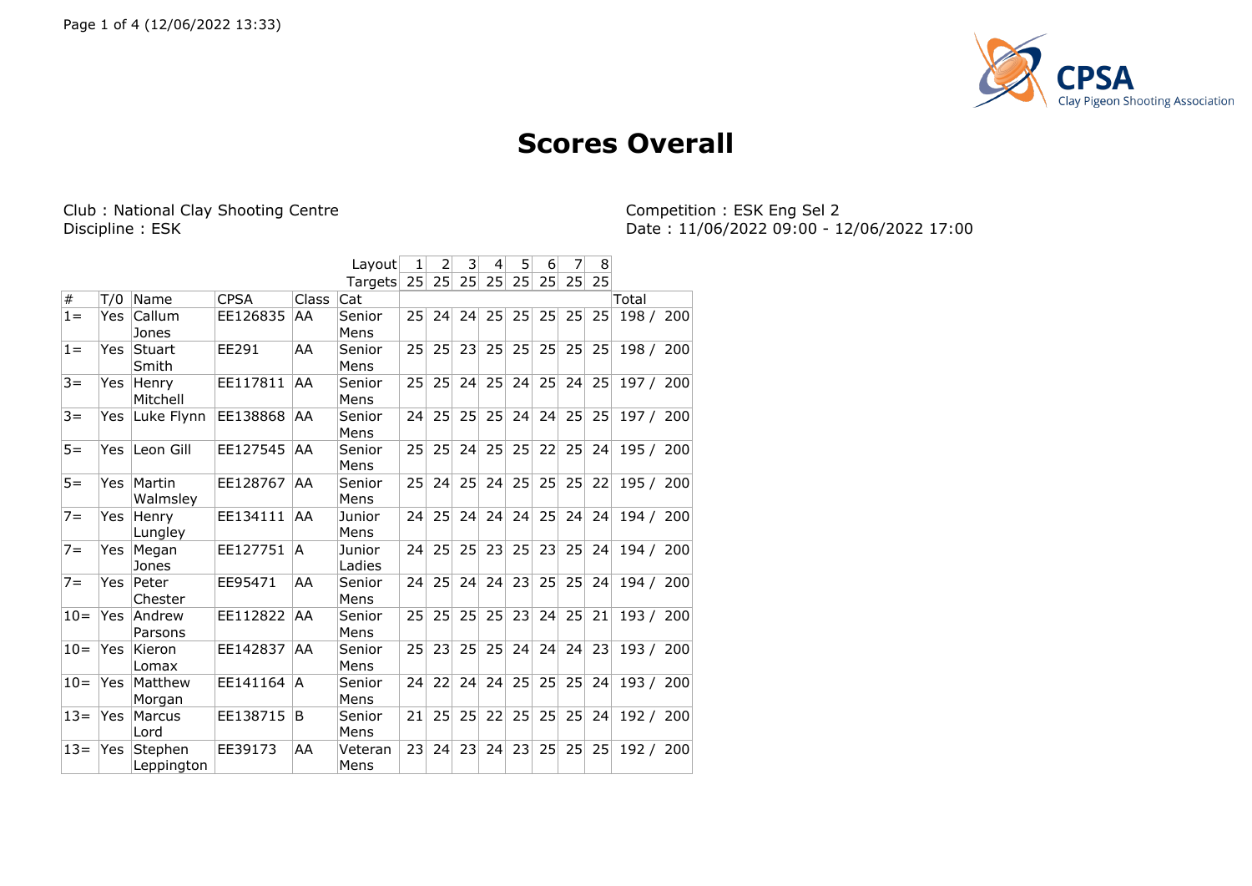

## **Scores Overall**

Club : National Clay Shooting Centre<br>Discipline : ESK

Competition : ESK Eng Sel 2<br>Date : 11/06/2022 09:00 - 12/06/2022 17:00

|       |     |                        |             |              | Layout           | 1  | $\overline{2}$ | 3  | 4  | 5  | 6  | 7  | 8               |           |  |
|-------|-----|------------------------|-------------|--------------|------------------|----|----------------|----|----|----|----|----|-----------------|-----------|--|
|       |     |                        |             |              | Targets          | 25 | 25             | 25 | 25 | 25 | 25 | 25 | 25              |           |  |
| $\#$  | T/0 | Name                   | <b>CPSA</b> | <b>Class</b> | Cat              |    |                |    |    |    |    |    |                 | Total     |  |
| $1 =$ | Yes | Callum<br>Jones        | EE126835    | AA           | Senior<br>Mens   | 25 | 24             | 24 | 25 | 25 | 25 | 25 | 25              | 198 / 200 |  |
| $1 =$ | Yes | <b>Stuart</b><br>Smith | EE291       | AA           | Senior<br>Mens   | 25 | 25             | 23 | 25 | 25 | 25 | 25 | 25 <sup>1</sup> | 198 / 200 |  |
| $3 =$ | Yes | Henry<br>Mitchell      | EE117811    | AA           | Senior<br>Mens   | 25 | 25             | 24 | 25 | 24 | 25 | 24 | 25              | 197 / 200 |  |
| $3 =$ | Yes | Luke Flynn             | EE138868    | AA           | Senior<br>Mens   | 24 | 25             | 25 | 25 | 24 | 24 | 25 | 25              | 197 / 200 |  |
| $5 =$ | Yes | Leon Gill              | EE127545    | AA           | Senior<br>Mens   | 25 | 25             | 24 | 25 | 25 | 22 | 25 | 24              | 195 / 200 |  |
| $5 =$ | Yes | Martin<br>Walmsley     | EE128767    | AA           | Senior<br>Mens   | 25 | 24             | 25 | 24 | 25 | 25 | 25 | 22              | 195 / 200 |  |
| $7 =$ | Yes | Henry<br>Lungley       | EE134111    | AA           | Junior<br>Mens   | 24 | 25             | 24 | 24 | 24 | 25 | 24 | 24              | 194 / 200 |  |
| $7 =$ | Yes | Megan<br>Jones         | EE127751    | A            | Junior<br>Ladies | 24 | 25             | 25 | 23 | 25 | 23 | 25 | 24              | 194 / 200 |  |
| $7 =$ | Yes | Peter<br>Chester       | EE95471     | AA           | Senior<br>Mens   | 24 | 25             | 24 | 24 | 23 | 25 | 25 | 24              | 194 / 200 |  |
| $10=$ | Yes | Andrew<br>Parsons      | EE112822    | AA           | Senior<br>Mens   | 25 | 25             | 25 | 25 | 23 | 24 | 25 | 21              | 193 / 200 |  |
| $10=$ | Yes | Kieron<br>Lomax        | EE142837    | AA           | Senior<br>Mens   | 25 | 23             | 25 | 25 | 24 | 24 | 24 | 23              | 193 / 200 |  |
| $10=$ | Yes | Matthew<br>Morgan      | EE141164    | A            | Senior<br>Mens   | 24 | 22             | 24 | 24 | 25 | 25 | 25 | 24              | 193 / 200 |  |
| $13=$ | Yes | Marcus<br>Lord         | EE138715    | B            | Senior<br>Mens   | 21 | 25             | 25 | 22 | 25 | 25 | 25 | 24              | 192 / 200 |  |
| $13=$ | Yes | Stephen<br>Leppington  | EE39173     | AA           | Veteran<br>Mens  | 23 | 24             | 23 | 24 | 23 | 25 | 25 | 25              | 192 / 200 |  |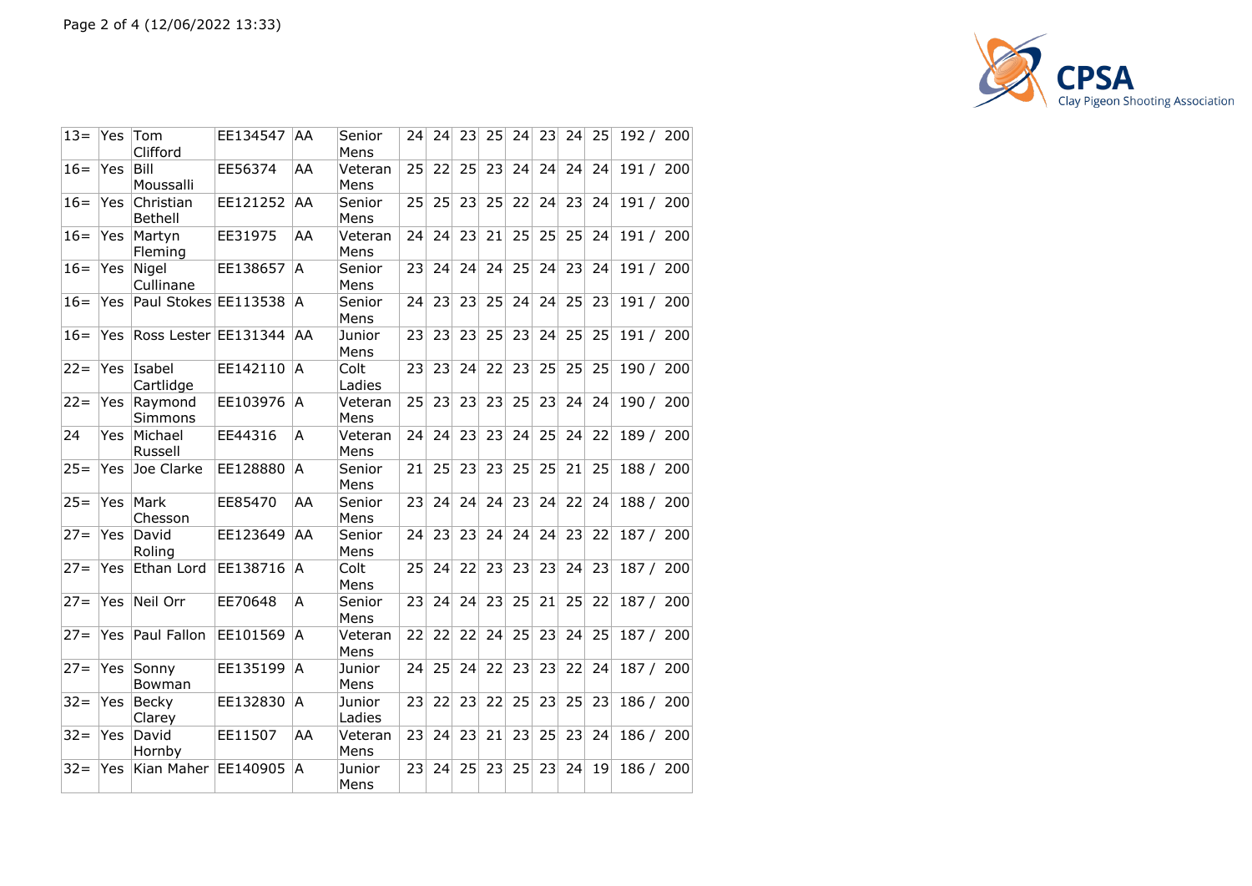

| $13 =$ | Yes        | Tom<br>Clifford             | EE134547 | AA | Senior<br>Mens   | 24              | 24 | 23 | 25 | 24 | 23 | 24 | 25 | 192 / 200 |     |
|--------|------------|-----------------------------|----------|----|------------------|-----------------|----|----|----|----|----|----|----|-----------|-----|
| $16=$  | Yes        | Bill<br>Moussalli           | EE56374  | AA | Veteran<br>Mens  | 25              | 22 | 25 | 23 | 24 | 24 | 24 | 24 | 191 / 200 |     |
| $16=$  | Yes        | Christian<br><b>Bethell</b> | EE121252 | AA | Senior<br>Mens   | 25              | 25 | 23 | 25 | 22 | 24 | 23 | 24 | 191 / 200 |     |
| $16 =$ | Yes.       | Martyn<br>Fleming           | EE31975  | AA | Veteran<br>Mens  | 24              | 24 | 23 | 21 | 25 | 25 | 25 | 24 | 191 / 200 |     |
| $16=$  | Yes        | Nigel<br>Cullinane          | EE138657 | A  | Senior<br>Mens   | 23              | 24 | 24 | 24 | 25 | 24 | 23 | 24 | 191 / 200 |     |
| $16 =$ | Yes        | Paul Stokes EE113538        |          | A  | Senior<br>Mens   | 24              | 23 | 23 | 25 | 24 | 24 | 25 | 23 | 191 / 200 |     |
| $16=$  | Yes        | Ross Lester EE131344        |          | AA | Junior<br>Mens   | 23              | 23 | 23 | 25 | 23 | 24 | 25 | 25 | 191 / 200 |     |
| $22 =$ | Yes        | Isabel<br>Cartlidge         | EE142110 | A  | Colt<br>Ladies   | 231             | 23 | 24 | 22 | 23 | 25 | 25 | 25 | 190 / 200 |     |
| $22 =$ | Yes.       | Raymond<br><b>Simmons</b>   | EE103976 | A  | Veteran<br>Mens  | 25              | 23 | 23 | 23 | 25 | 23 | 24 | 24 | 190/      | 200 |
| 24     | Yes        | Michael<br>Russell          | EE44316  | A  | Veteran<br>Mens  | 24              | 24 | 23 | 23 | 24 | 25 | 24 | 22 | 189 / 200 |     |
| $25 =$ | Yes        | Joe Clarke                  | EE128880 | A  | Senior<br>Mens   | 21              | 25 | 23 | 23 | 25 | 25 | 21 | 25 | 188 / 200 |     |
| $25 =$ | Yes        | Mark<br>Chesson             | EE85470  | AA | Senior<br>Mens   | 23              | 24 | 24 | 24 | 23 | 24 | 22 | 24 | 188 / 200 |     |
| $27 =$ | <b>Yes</b> | David<br>Roling             | EE123649 | AA | Senior<br>Mens   | 24              | 23 | 23 | 24 | 24 | 24 | 23 | 22 | 187 / 200 |     |
| $27 =$ | Yes        | Ethan Lord                  | EE138716 | A  | Colt<br>Mens     | 25              | 24 | 22 | 23 | 23 | 23 | 24 | 23 | 187 / 200 |     |
| $27 =$ | Yes        | Neil Orr                    | EE70648  | А  | Senior<br>Mens   | 23              | 24 | 24 | 23 | 25 | 21 | 25 | 22 | 187 / 200 |     |
| $27 =$ | Yes        | Paul Fallon                 | EE101569 | A  | Veteran<br>Mens  | 22              | 22 | 22 | 24 | 25 | 23 | 24 | 25 | 187 / 200 |     |
| $27 =$ | Yes        | Sonny<br>Bowman             | EE135199 | A  | Junior<br>Mens   | 24              | 25 | 24 | 22 | 23 | 23 | 22 | 24 | 187/      | 200 |
| $32 =$ | Yes        | Becky<br>Clarey             | EE132830 | A  | Junior<br>Ladies | 23 <sup>1</sup> | 22 | 23 | 22 | 25 | 23 | 25 | 23 | 186 / 200 |     |
| $32 =$ | Yes        | David<br>Hornby             | EE11507  | AA | Veteran<br>Mens  | 23 <sup>1</sup> | 24 | 23 | 21 | 23 | 25 | 23 | 24 | 186 / 200 |     |
| $32 =$ | Yes        | Kian Maher                  | EE140905 | A  | Junior<br>Mens   | 23 <sub>1</sub> | 24 | 25 | 23 | 25 | 23 | 24 | 19 | 186/      | 200 |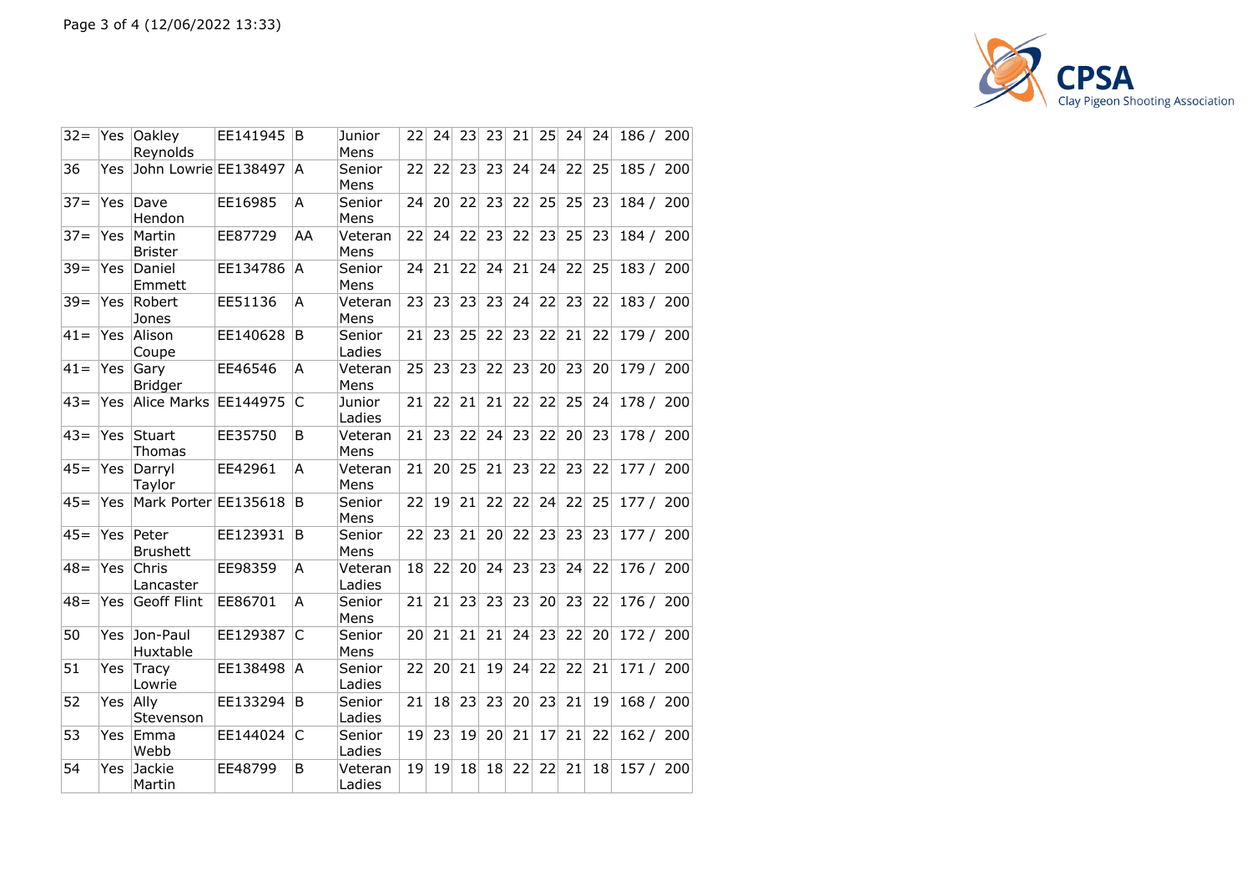

| $32 =$ | Yes  | Oakley<br>Reynolds       | EE141945 | B  | Junior<br>Mens    | 22              | 24              | 23 | 23 | 21 | 25 | 24 | 24              | 186 / 200 |     |
|--------|------|--------------------------|----------|----|-------------------|-----------------|-----------------|----|----|----|----|----|-----------------|-----------|-----|
| 36     | Yes  | John Lowrie EE138497     |          | A  | Senior<br>Mens    | 22              | 22              | 23 | 23 | 24 | 24 | 22 | 25              | 185/      | 200 |
| $37 =$ | Yes  | Dave<br>Hendon           | EE16985  | A  | Senior<br>Mens    | 24              | 20 <sup>1</sup> | 22 | 23 | 22 | 25 | 25 | 23              | 184 / 200 |     |
| $37 =$ | Yes  | Martin<br><b>Brister</b> | EE87729  | AA | Veteran<br>Mens   | 22              | 24              | 22 | 23 | 22 | 23 | 25 | 23              | 184 / 200 |     |
| $39 =$ | Yes. | Daniel<br>Emmett         | EE134786 | A  | Senior<br>Mens    | 24              | 21              | 22 | 24 | 21 | 24 | 22 | 25              | 183 / 200 |     |
| $39 =$ | Yes  | Robert<br>Jones          | EE51136  | A  | Veteran<br>Mens   | 23              | 23              | 23 | 23 | 24 | 22 | 23 | 22              | 183 / 200 |     |
| $41 =$ | Yes  | Alison<br>Coupe          | EE140628 | B  | Senior<br>Ladies  | 21              | 23              | 25 | 22 | 23 | 22 | 21 | 22              | 179 / 200 |     |
| $ 41=$ | Yes  | Gary<br><b>Bridger</b>   | EE46546  | A  | Veteran<br>Mens   | 25              | 23              | 23 | 22 | 23 | 20 | 23 | 20              | 179 / 200 |     |
| $43=$  | Yes  | Alice Marks EE144975     |          | C  | Junior<br>Ladies  | 21              | 22              | 21 | 21 | 22 | 22 | 25 | 24              | 178/      | 200 |
| $43=$  | Yes  | Stuart<br><b>Thomas</b>  | EE35750  | B  | Veteran<br>Mens   | 21              | 23              | 22 | 24 | 23 | 22 | 20 | 23              | 178/      | 200 |
| $45 =$ | Yes  | Darryl<br>Taylor         | EE42961  | A  | Veteran<br>Mens   | 21              | 20 <sup>1</sup> | 25 | 21 | 23 | 22 | 23 | 22              | 177 / 200 |     |
| $45 =$ | Yes  | Mark Porter EE135618     |          | B  | Senior<br>Mens    | 22              | 19              | 21 | 22 | 22 | 24 | 22 | 25              | 177 / 200 |     |
| $45 =$ | Yes  | Peter<br><b>Brushett</b> | EE123931 | B  | Senior<br>Mens    | 22              | 23              | 21 | 20 | 22 | 23 | 23 | 23              | 177/      | 200 |
| $48=$  | Yes  | Chris<br>Lancaster       | EE98359  | A  | Veteran<br>Ladies | 18              | 22              | 20 | 24 | 23 | 23 | 24 | 22              | 176 / 200 |     |
| $48 =$ | Yes  | <b>Geoff Flint</b>       | EE86701  | A  | Senior<br>Mens    | 21              | 21              | 23 | 23 | 23 | 20 | 23 | 22              | 176 / 200 |     |
| 50     | Yes. | Jon-Paul<br>Huxtable     | EE129387 | C  | Senior<br>Mens    | 20              | 21              | 21 | 21 | 24 | 23 | 22 | 20              | 172 / 200 |     |
| 51     | Yes  | Tracy<br>Lowrie          | EE138498 | A  | Senior<br>Ladies  | 22              | 20              | 21 | 19 | 24 | 22 | 22 | 21              | 171/      | 200 |
| 52     | Yes  | Ally<br>Stevenson        | EE133294 | B  | Senior<br>Ladies  | 21              | 18              | 23 | 23 | 20 | 23 | 21 | 19 <sup>°</sup> | 168 / 200 |     |
| 53     | Yes  | Emma<br>Webb             | EE144024 | C  | Senior<br>Ladies  | 19 <sub>1</sub> | 23              | 19 | 20 | 21 | 17 | 21 | 22              | 162 / 200 |     |
| 54     | Yes  | Jackie<br>Martin         | EE48799  | B  | Veteran<br>Ladies | 19 <sup>1</sup> | 19              | 18 | 18 | 22 | 22 | 21 | 18              | 157/      | 200 |